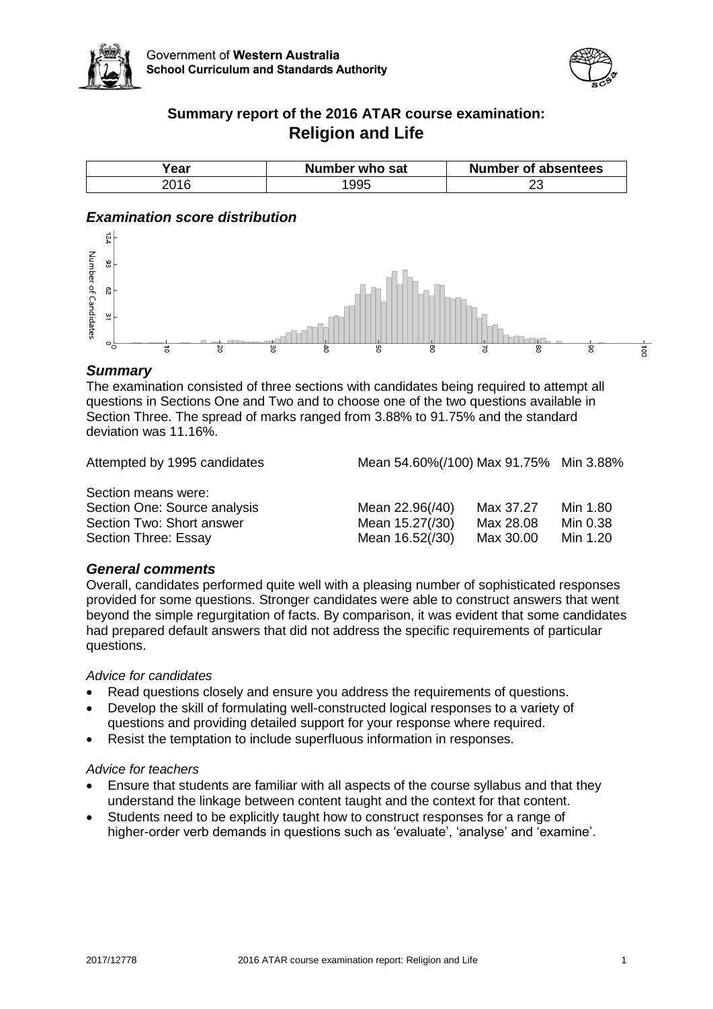



### **Summary report of the 2016 ATAR course examination: Religion and Life**

| ear  | Number who sat | Number of absentees |
|------|----------------|---------------------|
| :016 |                | ້                   |

#### *Examination score distribution*



#### *Summary*

The examination consisted of three sections with candidates being required to attempt all questions in Sections One and Two and to choose one of the two questions available in Section Three. The spread of marks ranged from 3.88% to 91.75% and the standard deviation was 11.16%.

Attempted by 1995 candidates Mean 54.60%(/100) Max 91.75% Min 3.88%

Section means were: Section One: Source analysis Mean 2009 Section Two: Short answer Mean 15.27 Min 0.38 Section Three: Essay Max 30.000 Min 16.52(130) Max 30.00 Min 1.300 Min 1.300 Min 1.300 Min 1.300 Min 1.300 Min 1.300 Min 1.300 Min 1.300 Min 1.300 Min 1.300 Min 1.300 Min 1.300 Min 1.300 Min 1.300 Min 1.300 Min 1.300 Min 1

| Mean 22.96(/40) | Max 37.27 | Min 1.80 |
|-----------------|-----------|----------|
| Mean 15.27(/30) | Max 28.08 | Min 0.38 |
| Mean 16.52(/30) | Max 30.00 | Min 1.20 |

#### *General comments*

Overall, candidates performed quite well with a pleasing number of sophisticated responses provided for some questions. Stronger candidates were able to construct answers that went beyond the simple regurgitation of facts. By comparison, it was evident that some candidates had prepared default answers that did not address the specific requirements of particular questions.

*Advice for candidates* 

- Read questions closely and ensure you address the requirements of questions.
- Develop the skill of formulating well-constructed logical responses to a variety of questions and providing detailed support for your response where required.
- Resist the temptation to include superfluous information in responses.

#### *Advice for teachers*

- Ensure that students are familiar with all aspects of the course syllabus and that they understand the linkage between content taught and the context for that content.
- Students need to be explicitly taught how to construct responses for a range of higher-order verb demands in questions such as 'evaluate', 'analyse' and 'examine'.